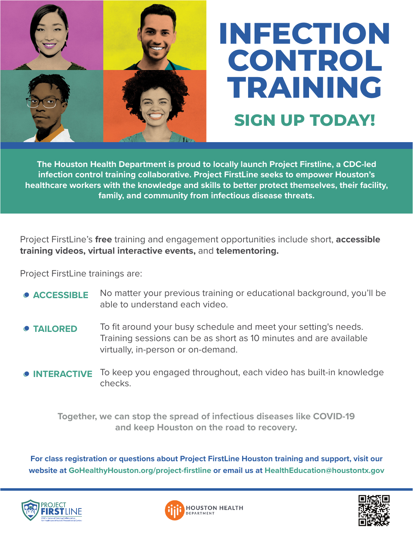

## **INFECTION CONTROL TRAINING SIGN UP TODAY!**

**The Houston Health Department is proud to locally launch Project Firstline, a CDC-led infection control training collaborative. Project FirstLine seeks to empower Houston's healthcare workers with the knowledge and skills to better protect themselves, their facility, family, and community from infectious disease threats.**

Project FirstLine's **free** training and engagement opportunities include short, **accessible training videos, virtual interactive events,** and **telementoring.** 

Project FirstLine trainings are:

- No matter your previous training or educational background, you'll be able to understand each video. **ACCESSIBLE**
- To fit around your busy schedule and meet your setting's needs. Training sessions can be as short as 10 minutes and are available virtually, in-person or on-demand. **TAILORED**
- To keep you engaged throughout, each video has built-in knowledge checks.  $\bullet$  **INTERACTIVE**

**Together, we can stop the spread of infectious diseases like COVID-19 and keep Houston on the road to recovery.** 

**For class registration or questions about Project FirstLine Houston training and support, visit our website at GoHealthyHouston.org/project-firstline or email us at HealthEducation@houstontx.gov**